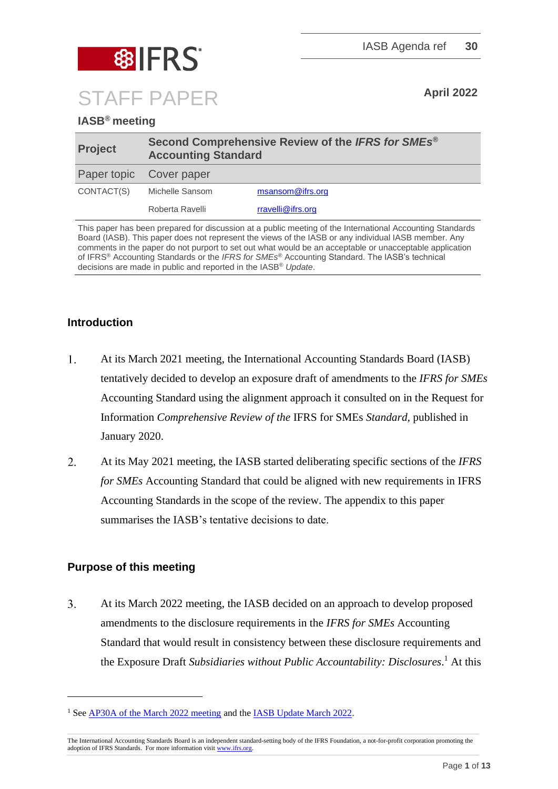

### **IASB® meeting**

| <b>Project</b>          | Second Comprehensive Review of the IFRS for SMEs <sup>®</sup><br><b>Accounting Standard</b> |                   |  |  |
|-------------------------|---------------------------------------------------------------------------------------------|-------------------|--|--|
| Paper topic Cover paper |                                                                                             |                   |  |  |
| CONTACT(S)              | Michelle Sansom                                                                             | msansom@ifrs.org  |  |  |
|                         | Roberta Ravelli                                                                             | rravelli@ifrs.org |  |  |

This paper has been prepared for discussion at a public meeting of the International Accounting Standards Board (IASB). This paper does not represent the views of the IASB or any individual IASB member. Any comments in the paper do not purport to set out what would be an acceptable or unacceptable application of IFRS® Accounting Standards or the *IFRS for SMEs*® Accounting Standard. The IASB's technical decisions are made in public and reported in the IASB® *Update*.

#### **Introduction**

- $1<sub>1</sub>$ At its March 2021 meeting, the International Accounting Standards Board (IASB) tentatively decided to develop an exposure draft of amendments to the *IFRS for SMEs* Accounting Standard using the alignment approach it consulted on in the Request for Information *Comprehensive Review of the* IFRS for SMEs *Standard,* published in January 2020.
- $2.$ At its May 2021 meeting, the IASB started deliberating specific sections of the *IFRS for SMEs* Accounting Standard that could be aligned with new requirements in IFRS Accounting Standards in the scope of the review. The appendix to this paper summarises the IASB's tentative decisions to date.

#### **Purpose of this meeting**

 $\overline{3}$ . At its March 2022 meeting, the IASB decided on an approach to develop proposed amendments to the disclosure requirements in the *IFRS for SMEs* Accounting Standard that would result in consistency between these disclosure requirements and the Exposure Draft *Subsidiaries without Public Accountability: Disclosures*. <sup>1</sup> At this

<sup>&</sup>lt;sup>1</sup> Se[e AP30A of the March 2022 meeting](https://www.ifrs.org/content/dam/ifrs/meetings/2022/march/iasb/ap30a-aligning-disclosures.pdf) and the [IASB Update March 2022.](https://www.ifrs.org/news-and-events/updates/iasb/2022/iasb-update-march-2022/#7)

The International Accounting Standards Board is an independent standard-setting body of the IFRS Foundation, a not-for-profit corporation promoting the adoption of IFRS Standards. For more information visi[t www.ifrs.org.](http://www.ifrs.org/)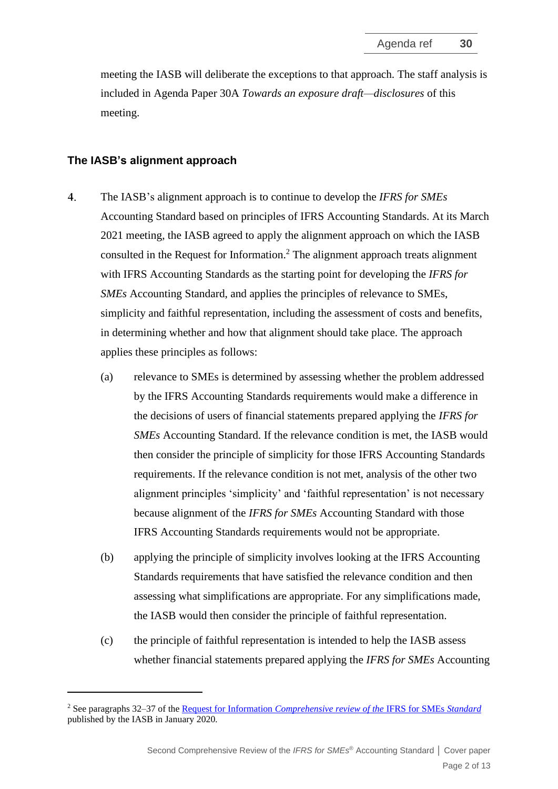meeting the IASB will deliberate the exceptions to that approach. The staff analysis is included in Agenda Paper 30A *Towards an exposure draft—disclosures* of this meeting.

#### **The IASB's alignment approach**

- $4.$ The IASB's alignment approach is to continue to develop the *IFRS for SMEs* Accounting Standard based on principles of IFRS Accounting Standards. At its March 2021 meeting, the IASB agreed to apply the alignment approach on which the IASB consulted in the Request for Information.<sup>2</sup> The alignment approach treats alignment with IFRS Accounting Standards as the starting point for developing the *IFRS for SMEs* Accounting Standard, and applies the principles of relevance to SMEs, simplicity and faithful representation, including the assessment of costs and benefits, in determining whether and how that alignment should take place. The approach applies these principles as follows:
	- (a) relevance to SMEs is determined by assessing whether the problem addressed by the IFRS Accounting Standards requirements would make a difference in the decisions of users of financial statements prepared applying the *IFRS for SMEs* Accounting Standard. If the relevance condition is met, the IASB would then consider the principle of simplicity for those IFRS Accounting Standards requirements. If the relevance condition is not met, analysis of the other two alignment principles 'simplicity' and 'faithful representation' is not necessary because alignment of the *IFRS for SMEs* Accounting Standard with those IFRS Accounting Standards requirements would not be appropriate.
	- (b) applying the principle of simplicity involves looking at the IFRS Accounting Standards requirements that have satisfied the relevance condition and then assessing what simplifications are appropriate. For any simplifications made, the IASB would then consider the principle of faithful representation.
	- (c) the principle of faithful representation is intended to help the IASB assess whether financial statements prepared applying the *IFRS for SMEs* Accounting

<sup>2</sup> See paragraphs 32–37 of the Request for Information *[Comprehensive review of the](https://www.ifrs.org/content/dam/ifrs/project/2019-comprehensive-review-of-the-ifrs-for-smes-standard/request-for-information-comprehensive-review-of-the-ifrs-for-smes-standard.pdf)* IFRS for SMEs *Standard* published by the IASB in January 2020*.*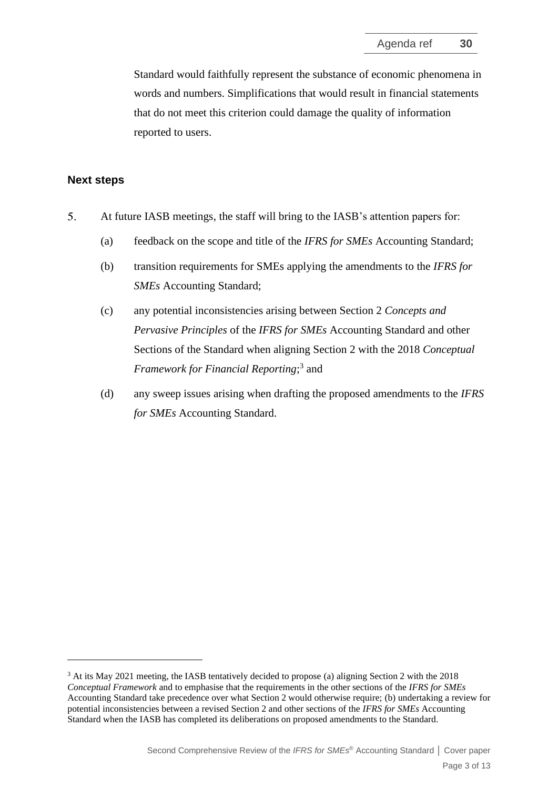Standard would faithfully represent the substance of economic phenomena in words and numbers. Simplifications that would result in financial statements that do not meet this criterion could damage the quality of information reported to users.

#### **Next steps**

- 5. At future IASB meetings, the staff will bring to the IASB's attention papers for:
	- (a) feedback on the scope and title of the *IFRS for SMEs* Accounting Standard;
	- (b) transition requirements for SMEs applying the amendments to the *IFRS for SMEs* Accounting Standard;
	- (c) any potential inconsistencies arising between Section 2 *Concepts and Pervasive Principles* of the *IFRS for SMEs* Accounting Standard and other Sections of the Standard when aligning Section 2 with the 2018 *Conceptual Framework for Financial Reporting*; 3 and
	- (d) any sweep issues arising when drafting the proposed amendments to the *IFRS for SMEs* Accounting Standard.

<sup>3</sup> At its May 2021 meeting, the IASB tentatively decided to propose (a) aligning Section 2 with the 2018 *Conceptual Framework* and to emphasise that the requirements in the other sections of the *IFRS for SMEs* Accounting Standard take precedence over what Section 2 would otherwise require; (b) undertaking a review for potential inconsistencies between a revised Section 2 and other sections of the *IFRS for SMEs* Accounting Standard when the IASB has completed its deliberations on proposed amendments to the Standard.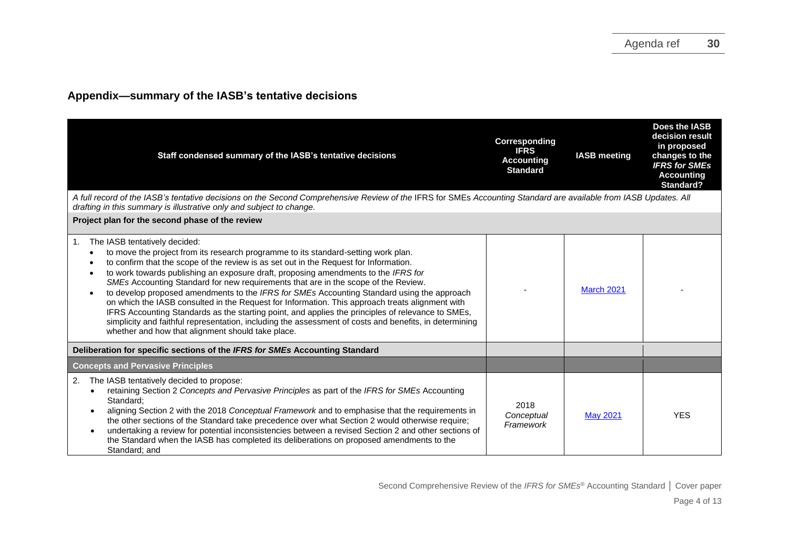### **Appendix—summary of the IASB's tentative decisions**

| Staff condensed summary of the IASB's tentative decisions                                                                                                                                                                                                                                                                                                                                                                                                                                                                                                                                                                                                                                                                                                                                                                                                           | Corresponding<br><b>IFRS</b><br><b>Accounting</b><br><b>Standard</b> | <b>IASB</b> meeting | Does the IASB<br>decision result<br>in proposed<br>changes to the<br><b>IFRS for SMEs</b><br><b>Accounting</b><br>Standard? |
|---------------------------------------------------------------------------------------------------------------------------------------------------------------------------------------------------------------------------------------------------------------------------------------------------------------------------------------------------------------------------------------------------------------------------------------------------------------------------------------------------------------------------------------------------------------------------------------------------------------------------------------------------------------------------------------------------------------------------------------------------------------------------------------------------------------------------------------------------------------------|----------------------------------------------------------------------|---------------------|-----------------------------------------------------------------------------------------------------------------------------|
| A full record of the IASB's tentative decisions on the Second Comprehensive Review of the IFRS for SMEs Accounting Standard are available from IASB Updates. All<br>drafting in this summary is illustrative only and subject to change.                                                                                                                                                                                                                                                                                                                                                                                                                                                                                                                                                                                                                            |                                                                      |                     |                                                                                                                             |
| Project plan for the second phase of the review                                                                                                                                                                                                                                                                                                                                                                                                                                                                                                                                                                                                                                                                                                                                                                                                                     |                                                                      |                     |                                                                                                                             |
| The IASB tentatively decided:<br>1.<br>to move the project from its research programme to its standard-setting work plan.<br>to confirm that the scope of the review is as set out in the Request for Information.<br>to work towards publishing an exposure draft, proposing amendments to the IFRS for<br>SMEs Accounting Standard for new requirements that are in the scope of the Review.<br>to develop proposed amendments to the IFRS for SMEs Accounting Standard using the approach<br>on which the IASB consulted in the Request for Information. This approach treats alignment with<br>IFRS Accounting Standards as the starting point, and applies the principles of relevance to SMEs,<br>simplicity and faithful representation, including the assessment of costs and benefits, in determining<br>whether and how that alignment should take place. |                                                                      | <b>March 2021</b>   |                                                                                                                             |
| Deliberation for specific sections of the IFRS for SMEs Accounting Standard                                                                                                                                                                                                                                                                                                                                                                                                                                                                                                                                                                                                                                                                                                                                                                                         |                                                                      |                     |                                                                                                                             |
| <b>Concepts and Pervasive Principles</b>                                                                                                                                                                                                                                                                                                                                                                                                                                                                                                                                                                                                                                                                                                                                                                                                                            |                                                                      |                     |                                                                                                                             |
| The IASB tentatively decided to propose:<br>2.<br>retaining Section 2 Concepts and Pervasive Principles as part of the IFRS for SMEs Accounting<br>Standard:<br>aligning Section 2 with the 2018 Conceptual Framework and to emphasise that the requirements in<br>the other sections of the Standard take precedence over what Section 2 would otherwise require;<br>undertaking a review for potential inconsistencies between a revised Section 2 and other sections of<br>the Standard when the IASB has completed its deliberations on proposed amendments to the<br>Standard; and                                                                                                                                                                                                                                                                             | 2018<br>Conceptual<br>Framework                                      | <b>May 2021</b>     | <b>YES</b>                                                                                                                  |

Second Comprehensive Review of the *IFRS for SMEs* ® Accounting Standard **│** Cover paper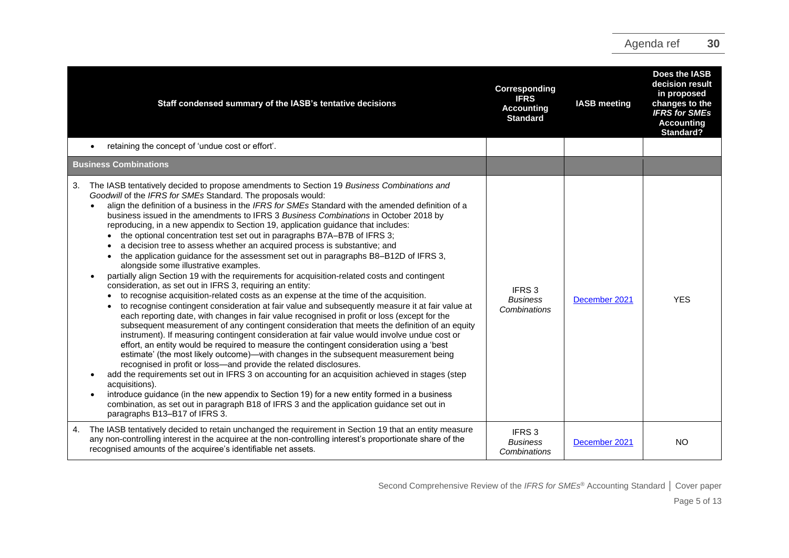| Staff condensed summary of the IASB's tentative decisions                                                                                                                                                                                                                                                                                                                                                                                                                                                                                                                                                                                                                                                                                                                                                                                                                                                                                                                                                                                                                                                                                                                                                                                                                                                                                                                                                                                                                                                                                                                                                                                                                                                                                                                                                                                                                                                                                                                                                                                                                      | Corresponding<br><b>IFRS</b><br><b>Accounting</b><br><b>Standard</b> | <b>IASB</b> meeting | Does the IASB<br>decision result<br>in proposed<br>changes to the<br><b>IFRS for SMEs</b><br><b>Accounting</b><br><b>Standard?</b> |
|--------------------------------------------------------------------------------------------------------------------------------------------------------------------------------------------------------------------------------------------------------------------------------------------------------------------------------------------------------------------------------------------------------------------------------------------------------------------------------------------------------------------------------------------------------------------------------------------------------------------------------------------------------------------------------------------------------------------------------------------------------------------------------------------------------------------------------------------------------------------------------------------------------------------------------------------------------------------------------------------------------------------------------------------------------------------------------------------------------------------------------------------------------------------------------------------------------------------------------------------------------------------------------------------------------------------------------------------------------------------------------------------------------------------------------------------------------------------------------------------------------------------------------------------------------------------------------------------------------------------------------------------------------------------------------------------------------------------------------------------------------------------------------------------------------------------------------------------------------------------------------------------------------------------------------------------------------------------------------------------------------------------------------------------------------------------------------|----------------------------------------------------------------------|---------------------|------------------------------------------------------------------------------------------------------------------------------------|
| retaining the concept of 'undue cost or effort'.                                                                                                                                                                                                                                                                                                                                                                                                                                                                                                                                                                                                                                                                                                                                                                                                                                                                                                                                                                                                                                                                                                                                                                                                                                                                                                                                                                                                                                                                                                                                                                                                                                                                                                                                                                                                                                                                                                                                                                                                                               |                                                                      |                     |                                                                                                                                    |
| <b>Business Combinations</b>                                                                                                                                                                                                                                                                                                                                                                                                                                                                                                                                                                                                                                                                                                                                                                                                                                                                                                                                                                                                                                                                                                                                                                                                                                                                                                                                                                                                                                                                                                                                                                                                                                                                                                                                                                                                                                                                                                                                                                                                                                                   |                                                                      |                     |                                                                                                                                    |
| The IASB tentatively decided to propose amendments to Section 19 Business Combinations and<br>3.<br>Goodwill of the IFRS for SMEs Standard. The proposals would:<br>align the definition of a business in the IFRS for SMEs Standard with the amended definition of a<br>business issued in the amendments to IFRS 3 Business Combinations in October 2018 by<br>reproducing, in a new appendix to Section 19, application guidance that includes:<br>• the optional concentration test set out in paragraphs B7A-B7B of IFRS 3;<br>a decision tree to assess whether an acquired process is substantive; and<br>the application guidance for the assessment set out in paragraphs B8-B12D of IFRS 3,<br>$\bullet$<br>alongside some illustrative examples.<br>partially align Section 19 with the requirements for acquisition-related costs and contingent<br>consideration, as set out in IFRS 3, requiring an entity:<br>• to recognise acquisition-related costs as an expense at the time of the acquisition.<br>to recognise contingent consideration at fair value and subsequently measure it at fair value at<br>$\bullet$<br>each reporting date, with changes in fair value recognised in profit or loss (except for the<br>subsequent measurement of any contingent consideration that meets the definition of an equity<br>instrument). If measuring contingent consideration at fair value would involve undue cost or<br>effort, an entity would be required to measure the contingent consideration using a 'best<br>estimate' (the most likely outcome)—with changes in the subsequent measurement being<br>recognised in profit or loss-and provide the related disclosures.<br>add the requirements set out in IFRS 3 on accounting for an acquisition achieved in stages (step<br>$\bullet$<br>acquisitions).<br>introduce guidance (in the new appendix to Section 19) for a new entity formed in a business<br>$\bullet$<br>combination, as set out in paragraph B18 of IFRS 3 and the application guidance set out in<br>paragraphs B13-B17 of IFRS 3. | IFRS <sub>3</sub><br><b>Business</b><br>Combinations                 | December 2021       | <b>YES</b>                                                                                                                         |
| The IASB tentatively decided to retain unchanged the requirement in Section 19 that an entity measure<br>4.<br>any non-controlling interest in the acquiree at the non-controlling interest's proportionate share of the<br>recognised amounts of the acquiree's identifiable net assets.                                                                                                                                                                                                                                                                                                                                                                                                                                                                                                                                                                                                                                                                                                                                                                                                                                                                                                                                                                                                                                                                                                                                                                                                                                                                                                                                                                                                                                                                                                                                                                                                                                                                                                                                                                                      | IFRS <sub>3</sub><br><b>Business</b><br>Combinations                 | December 2021       | <b>NO</b>                                                                                                                          |

Second Comprehensive Review of the *IFRS for SMEs* ® Accounting Standard **│** Cover paper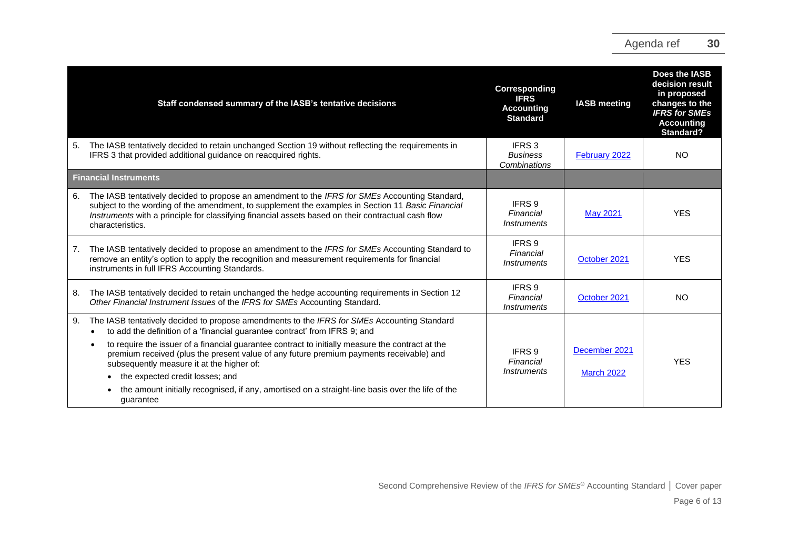|    | Staff condensed summary of the IASB's tentative decisions                                                                                                                                                                                                                                                                     | Corresponding<br><b>IFRS</b><br><b>Accounting</b><br><b>Standard</b>                   | <b>IASB</b> meeting | Does the IASB<br>decision result<br>in proposed<br>changes to the<br><b>IFRS for SMEs</b><br><b>Accounting</b><br>Standard? |
|----|-------------------------------------------------------------------------------------------------------------------------------------------------------------------------------------------------------------------------------------------------------------------------------------------------------------------------------|----------------------------------------------------------------------------------------|---------------------|-----------------------------------------------------------------------------------------------------------------------------|
| 5. | The IASB tentatively decided to retain unchanged Section 19 without reflecting the requirements in<br>IFRS 3 that provided additional guidance on reacquired rights.                                                                                                                                                          | IFRS 3<br><b>Business</b><br>Combinations                                              | February 2022       | NO.                                                                                                                         |
|    | <b>Financial Instruments</b>                                                                                                                                                                                                                                                                                                  |                                                                                        |                     |                                                                                                                             |
| 6. | The IASB tentatively decided to propose an amendment to the IFRS for SMEs Accounting Standard,<br>subject to the wording of the amendment, to supplement the examples in Section 11 Basic Financial<br>Instruments with a principle for classifying financial assets based on their contractual cash flow<br>characteristics. | IFRS 9<br>Financial<br><i>Instruments</i>                                              | <b>May 2021</b>     | <b>YES</b>                                                                                                                  |
| 7. | The IASB tentatively decided to propose an amendment to the IFRS for SMEs Accounting Standard to<br>remove an entity's option to apply the recognition and measurement requirements for financial<br>instruments in full IFRS Accounting Standards.                                                                           | IFRS 9<br>Financial<br><i><b>Instruments</b></i>                                       | October 2021        | <b>YES</b>                                                                                                                  |
| 8. | The IASB tentatively decided to retain unchanged the hedge accounting requirements in Section 12<br>Other Financial Instrument Issues of the IFRS for SMEs Accounting Standard.                                                                                                                                               | IFRS 9<br>Financial<br><i>Instruments</i>                                              | October 2021        | NO                                                                                                                          |
| 9. | The IASB tentatively decided to propose amendments to the IFRS for SMEs Accounting Standard<br>to add the definition of a 'financial guarantee contract' from IFRS 9; and                                                                                                                                                     |                                                                                        |                     |                                                                                                                             |
|    | to require the issuer of a financial guarantee contract to initially measure the contract at the<br>premium received (plus the present value of any future premium payments receivable) and<br>subsequently measure it at the higher of:                                                                                      | December 2021<br>IFRS 9<br>Financial<br><i><b>Instruments</b></i><br><b>March 2022</b> |                     | <b>YES</b>                                                                                                                  |
|    | the expected credit losses; and                                                                                                                                                                                                                                                                                               |                                                                                        |                     |                                                                                                                             |
|    | the amount initially recognised, if any, amortised on a straight-line basis over the life of the<br>quarantee                                                                                                                                                                                                                 |                                                                                        |                     |                                                                                                                             |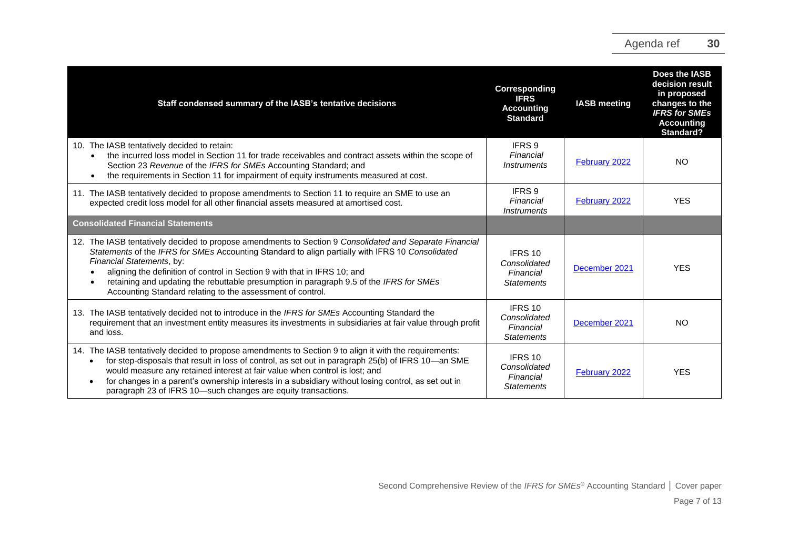| Staff condensed summary of the IASB's tentative decisions                                                                                                                                                                                                                                                                                                                                                                                                                      | Corresponding<br><b>IFRS</b><br><b>Accounting</b><br><b>Standard</b> | <b>IASB</b> meeting | Does the IASB<br>decision result<br>in proposed<br>changes to the<br><b>IFRS</b> for SMEs<br><b>Accounting</b><br>Standard? |
|--------------------------------------------------------------------------------------------------------------------------------------------------------------------------------------------------------------------------------------------------------------------------------------------------------------------------------------------------------------------------------------------------------------------------------------------------------------------------------|----------------------------------------------------------------------|---------------------|-----------------------------------------------------------------------------------------------------------------------------|
| 10. The IASB tentatively decided to retain:<br>the incurred loss model in Section 11 for trade receivables and contract assets within the scope of<br>Section 23 Revenue of the IFRS for SMEs Accounting Standard; and<br>the requirements in Section 11 for impairment of equity instruments measured at cost.                                                                                                                                                                | IFRS 9<br>Financial<br><i><b>Instruments</b></i>                     | February 2022       | <b>NO</b>                                                                                                                   |
| 11. The IASB tentatively decided to propose amendments to Section 11 to require an SME to use an<br>expected credit loss model for all other financial assets measured at amortised cost.                                                                                                                                                                                                                                                                                      | IFRS 9<br>Financial<br><i><b>Instruments</b></i>                     | February 2022       | <b>YES</b>                                                                                                                  |
| <b>Consolidated Financial Statements</b>                                                                                                                                                                                                                                                                                                                                                                                                                                       |                                                                      |                     |                                                                                                                             |
| 12. The IASB tentatively decided to propose amendments to Section 9 Consolidated and Separate Financial<br>Statements of the IFRS for SMEs Accounting Standard to align partially with IFRS 10 Consolidated<br>Financial Statements, by:<br>aligning the definition of control in Section 9 with that in IFRS 10; and<br>retaining and updating the rebuttable presumption in paragraph 9.5 of the IFRS for SMEs<br>Accounting Standard relating to the assessment of control. | IFRS 10<br>Consolidated<br>Financial<br><b>Statements</b>            | December 2021       | <b>YES</b>                                                                                                                  |
| 13. The IASB tentatively decided not to introduce in the IFRS for SMEs Accounting Standard the<br>requirement that an investment entity measures its investments in subsidiaries at fair value through profit<br>and loss.                                                                                                                                                                                                                                                     | IFRS 10<br>Consolidated<br>Financial<br><b>Statements</b>            | December 2021       | <b>NO</b>                                                                                                                   |
| 14. The IASB tentatively decided to propose amendments to Section 9 to align it with the requirements:<br>for step-disposals that result in loss of control, as set out in paragraph 25(b) of IFRS 10-an SME<br>would measure any retained interest at fair value when control is lost; and<br>for changes in a parent's ownership interests in a subsidiary without losing control, as set out in<br>paragraph 23 of IFRS 10-such changes are equity transactions.            | IFRS 10<br>Consolidated<br>Financial<br><b>Statements</b>            | February 2022       | <b>YES</b>                                                                                                                  |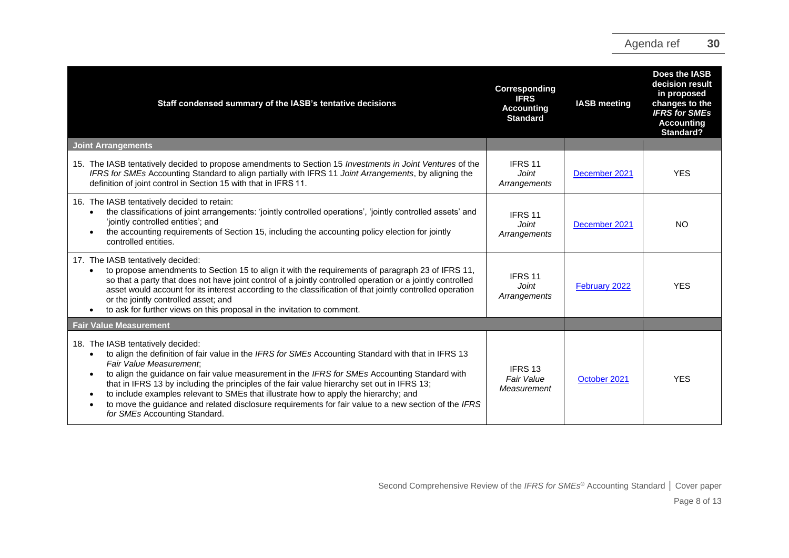| Staff condensed summary of the IASB's tentative decisions                                                                                                                                                                                                                                                                                                                                                                                                                                                                                                                                                                                                | Corresponding<br><b>IFRS</b><br><b>Accounting</b><br><b>Standard</b> | <b>IASB</b> meeting | Does the IASB<br>decision result<br>in proposed<br>changes to the<br><b>IFRS for SMEs</b><br><b>Accounting</b><br><b>Standard?</b> |
|----------------------------------------------------------------------------------------------------------------------------------------------------------------------------------------------------------------------------------------------------------------------------------------------------------------------------------------------------------------------------------------------------------------------------------------------------------------------------------------------------------------------------------------------------------------------------------------------------------------------------------------------------------|----------------------------------------------------------------------|---------------------|------------------------------------------------------------------------------------------------------------------------------------|
| <b>Joint Arrangements</b>                                                                                                                                                                                                                                                                                                                                                                                                                                                                                                                                                                                                                                |                                                                      |                     |                                                                                                                                    |
| 15. The IASB tentatively decided to propose amendments to Section 15 Investments in Joint Ventures of the<br>IFRS for SMEs Accounting Standard to align partially with IFRS 11 Joint Arrangements, by aligning the<br>definition of joint control in Section 15 with that in IFRS 11.                                                                                                                                                                                                                                                                                                                                                                    | IFRS 11<br><b>Joint</b><br>Arrangements                              | December 2021       | <b>YES</b>                                                                                                                         |
| 16. The IASB tentatively decided to retain:<br>the classifications of joint arrangements: 'jointly controlled operations', 'jointly controlled assets' and<br>'jointly controlled entities'; and<br>the accounting requirements of Section 15, including the accounting policy election for jointly<br>$\bullet$<br>controlled entities.                                                                                                                                                                                                                                                                                                                 | IFRS 11<br><b>Joint</b><br>Arrangements                              | December 2021       | <b>NO</b>                                                                                                                          |
| 17. The IASB tentatively decided:<br>to propose amendments to Section 15 to align it with the requirements of paragraph 23 of IFRS 11,<br>$\bullet$<br>so that a party that does not have joint control of a jointly controlled operation or a jointly controlled<br>asset would account for its interest according to the classification of that jointly controlled operation<br>or the jointly controlled asset; and<br>to ask for further views on this proposal in the invitation to comment.<br>$\bullet$                                                                                                                                           | IFRS <sub>11</sub><br>Joint<br>Arrangements                          | February 2022       | <b>YES</b>                                                                                                                         |
| <b>Fair Value Measurement</b>                                                                                                                                                                                                                                                                                                                                                                                                                                                                                                                                                                                                                            |                                                                      |                     |                                                                                                                                    |
| 18. The IASB tentatively decided:<br>to align the definition of fair value in the IFRS for SMEs Accounting Standard with that in IFRS 13<br>$\bullet$<br>Fair Value Measurement:<br>to align the guidance on fair value measurement in the IFRS for SMEs Accounting Standard with<br>$\bullet$<br>that in IFRS 13 by including the principles of the fair value hierarchy set out in IFRS 13;<br>to include examples relevant to SMEs that illustrate how to apply the hierarchy; and<br>$\bullet$<br>to move the guidance and related disclosure requirements for fair value to a new section of the IFRS<br>$\bullet$<br>for SMEs Accounting Standard. | IFRS <sub>13</sub><br>Fair Value<br>Measurement                      | October 2021        | <b>YES</b>                                                                                                                         |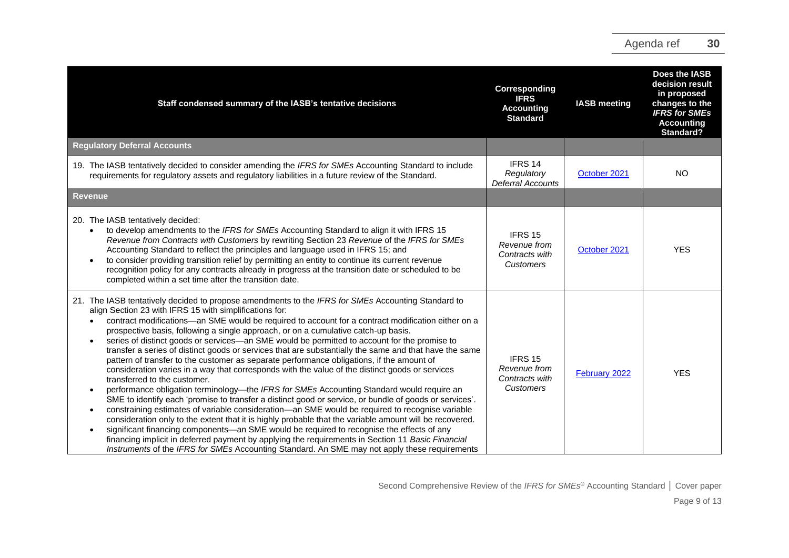| Staff condensed summary of the IASB's tentative decisions                                                                                                                                                                                                                                                                                                                                                                                                                                                                                                                                                                                                                                                                                                                                                                                                                                                                                                                                                                                                                                                                                                                                                                                                                                                                                                                                                                                                                                                                                             | Corresponding<br><b>IFRS</b><br><b>Accounting</b><br><b>Standard</b> | <b>IASB</b> meeting | Does the IASB<br>decision result<br>in proposed<br>changes to the<br><b>IFRS for SMEs</b><br><b>Accounting</b><br>Standard? |
|-------------------------------------------------------------------------------------------------------------------------------------------------------------------------------------------------------------------------------------------------------------------------------------------------------------------------------------------------------------------------------------------------------------------------------------------------------------------------------------------------------------------------------------------------------------------------------------------------------------------------------------------------------------------------------------------------------------------------------------------------------------------------------------------------------------------------------------------------------------------------------------------------------------------------------------------------------------------------------------------------------------------------------------------------------------------------------------------------------------------------------------------------------------------------------------------------------------------------------------------------------------------------------------------------------------------------------------------------------------------------------------------------------------------------------------------------------------------------------------------------------------------------------------------------------|----------------------------------------------------------------------|---------------------|-----------------------------------------------------------------------------------------------------------------------------|
| <b>Regulatory Deferral Accounts</b>                                                                                                                                                                                                                                                                                                                                                                                                                                                                                                                                                                                                                                                                                                                                                                                                                                                                                                                                                                                                                                                                                                                                                                                                                                                                                                                                                                                                                                                                                                                   |                                                                      |                     |                                                                                                                             |
| 19. The IASB tentatively decided to consider amending the IFRS for SMEs Accounting Standard to include<br>requirements for regulatory assets and regulatory liabilities in a future review of the Standard.                                                                                                                                                                                                                                                                                                                                                                                                                                                                                                                                                                                                                                                                                                                                                                                                                                                                                                                                                                                                                                                                                                                                                                                                                                                                                                                                           | IFRS 14<br>Regulatory<br><b>Deferral Accounts</b>                    | October 2021        | <b>NO</b>                                                                                                                   |
| <b>Revenue</b>                                                                                                                                                                                                                                                                                                                                                                                                                                                                                                                                                                                                                                                                                                                                                                                                                                                                                                                                                                                                                                                                                                                                                                                                                                                                                                                                                                                                                                                                                                                                        |                                                                      |                     |                                                                                                                             |
| 20. The IASB tentatively decided:<br>to develop amendments to the IFRS for SMEs Accounting Standard to align it with IFRS 15<br>Revenue from Contracts with Customers by rewriting Section 23 Revenue of the IFRS for SMEs<br>Accounting Standard to reflect the principles and language used in IFRS 15; and<br>to consider providing transition relief by permitting an entity to continue its current revenue<br>recognition policy for any contracts already in progress at the transition date or scheduled to be<br>completed within a set time after the transition date.                                                                                                                                                                                                                                                                                                                                                                                                                                                                                                                                                                                                                                                                                                                                                                                                                                                                                                                                                                      | IFRS 15<br>Revenue from<br>Contracts with<br>Customers               | October 2021        | <b>YES</b>                                                                                                                  |
| 21. The IASB tentatively decided to propose amendments to the IFRS for SMEs Accounting Standard to<br>align Section 23 with IFRS 15 with simplifications for:<br>contract modifications-an SME would be required to account for a contract modification either on a<br>prospective basis, following a single approach, or on a cumulative catch-up basis.<br>series of distinct goods or services—an SME would be permitted to account for the promise to<br>transfer a series of distinct goods or services that are substantially the same and that have the same<br>pattern of transfer to the customer as separate performance obligations, if the amount of<br>consideration varies in a way that corresponds with the value of the distinct goods or services<br>transferred to the customer.<br>performance obligation terminology—the IFRS for SMEs Accounting Standard would require an<br>$\bullet$<br>SME to identify each 'promise to transfer a distinct good or service, or bundle of goods or services'.<br>constraining estimates of variable consideration—an SME would be required to recognise variable<br>$\bullet$<br>consideration only to the extent that it is highly probable that the variable amount will be recovered.<br>significant financing components-an SME would be required to recognise the effects of any<br>financing implicit in deferred payment by applying the requirements in Section 11 Basic Financial<br>Instruments of the IFRS for SMEs Accounting Standard. An SME may not apply these requirements | IFRS 15<br>Revenue from<br>Contracts with<br>Customers               | February 2022       | <b>YES</b>                                                                                                                  |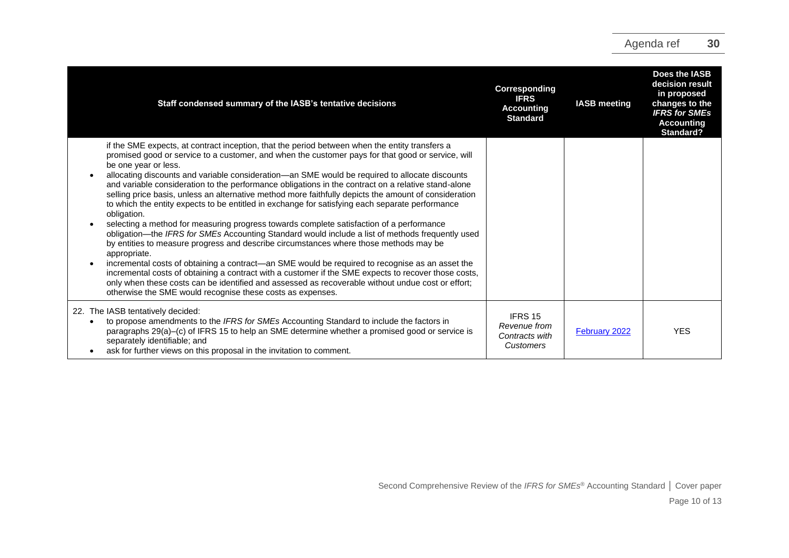| Staff condensed summary of the IASB's tentative decisions                                                                                                                                                                                                                                                                                                                                                                                                                                                                                                                                                                                                                                                                                                                                                                                                                                                                                                                                                                                                                                                                                                                                                                                                                                                                                                           | Corresponding<br><b>IFRS</b><br><b>Accounting</b><br><b>Standard</b>     | <b>IASB meeting</b> | Does the IASB<br>decision result<br>in proposed<br>changes to the<br><b>IFRS for SMEs</b><br><b>Accounting</b><br>Standard? |
|---------------------------------------------------------------------------------------------------------------------------------------------------------------------------------------------------------------------------------------------------------------------------------------------------------------------------------------------------------------------------------------------------------------------------------------------------------------------------------------------------------------------------------------------------------------------------------------------------------------------------------------------------------------------------------------------------------------------------------------------------------------------------------------------------------------------------------------------------------------------------------------------------------------------------------------------------------------------------------------------------------------------------------------------------------------------------------------------------------------------------------------------------------------------------------------------------------------------------------------------------------------------------------------------------------------------------------------------------------------------|--------------------------------------------------------------------------|---------------------|-----------------------------------------------------------------------------------------------------------------------------|
| if the SME expects, at contract inception, that the period between when the entity transfers a<br>promised good or service to a customer, and when the customer pays for that good or service, will<br>be one year or less.<br>allocating discounts and variable consideration—an SME would be required to allocate discounts<br>and variable consideration to the performance obligations in the contract on a relative stand-alone<br>selling price basis, unless an alternative method more faithfully depicts the amount of consideration<br>to which the entity expects to be entitled in exchange for satisfying each separate performance<br>obligation.<br>selecting a method for measuring progress towards complete satisfaction of a performance<br>obligation—the IFRS for SMEs Accounting Standard would include a list of methods frequently used<br>by entities to measure progress and describe circumstances where those methods may be<br>appropriate.<br>incremental costs of obtaining a contract—an SME would be required to recognise as an asset the<br>$\bullet$<br>incremental costs of obtaining a contract with a customer if the SME expects to recover those costs,<br>only when these costs can be identified and assessed as recoverable without undue cost or effort;<br>otherwise the SME would recognise these costs as expenses. |                                                                          |                     |                                                                                                                             |
| 22. The IASB tentatively decided:<br>to propose amendments to the IFRS for SMEs Accounting Standard to include the factors in<br>$\bullet$<br>paragraphs 29(a)–(c) of IFRS 15 to help an SME determine whether a promised good or service is<br>separately identifiable; and<br>ask for further views on this proposal in the invitation to comment.                                                                                                                                                                                                                                                                                                                                                                                                                                                                                                                                                                                                                                                                                                                                                                                                                                                                                                                                                                                                                | IFRS <sub>15</sub><br>Revenue from<br>Contracts with<br><b>Customers</b> | February 2022       | <b>YES</b>                                                                                                                  |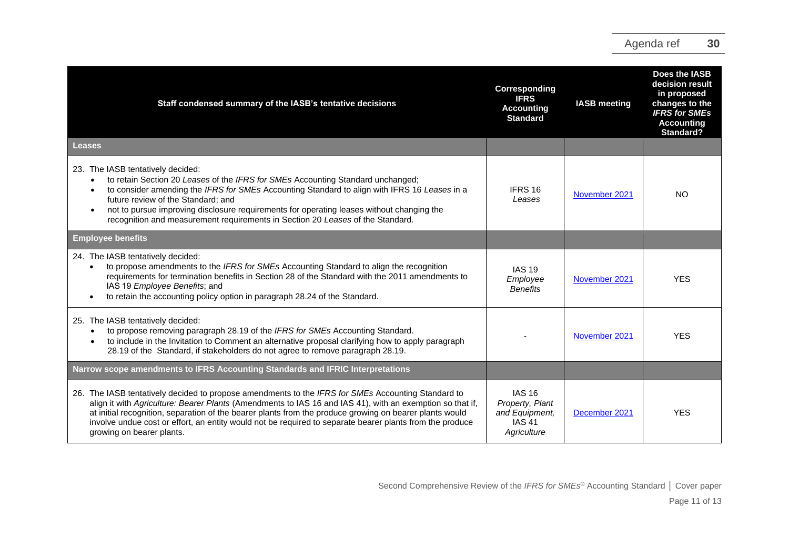| Staff condensed summary of the IASB's tentative decisions                                                                                                                                                                                                                                                                                                                                                                                                           | Corresponding<br><b>IFRS</b><br><b>Accounting</b><br><b>Standard</b>               | <b>IASB</b> meeting | Does the IASB<br>decision result<br>in proposed<br>changes to the<br><b>IFRS for SMEs</b><br><b>Accounting</b><br>Standard? |
|---------------------------------------------------------------------------------------------------------------------------------------------------------------------------------------------------------------------------------------------------------------------------------------------------------------------------------------------------------------------------------------------------------------------------------------------------------------------|------------------------------------------------------------------------------------|---------------------|-----------------------------------------------------------------------------------------------------------------------------|
| Leases                                                                                                                                                                                                                                                                                                                                                                                                                                                              |                                                                                    |                     |                                                                                                                             |
| 23. The IASB tentatively decided:<br>to retain Section 20 Leases of the IFRS for SMEs Accounting Standard unchanged;<br>to consider amending the IFRS for SMEs Accounting Standard to align with IFRS 16 Leases in a<br>future review of the Standard: and<br>not to pursue improving disclosure requirements for operating leases without changing the<br>recognition and measurement requirements in Section 20 Leases of the Standard.                           | IFRS 16<br>Leases                                                                  | November 2021       | <b>NO</b>                                                                                                                   |
| <b>Employee benefits</b>                                                                                                                                                                                                                                                                                                                                                                                                                                            |                                                                                    |                     |                                                                                                                             |
| 24. The IASB tentatively decided:<br>to propose amendments to the IFRS for SMEs Accounting Standard to align the recognition<br>requirements for termination benefits in Section 28 of the Standard with the 2011 amendments to<br>IAS 19 Employee Benefits; and<br>to retain the accounting policy option in paragraph 28.24 of the Standard.                                                                                                                      | <b>IAS 19</b><br>Employee<br><b>Benefits</b>                                       | November 2021       | <b>YES</b>                                                                                                                  |
| 25. The IASB tentatively decided:<br>to propose removing paragraph 28.19 of the IFRS for SMEs Accounting Standard.<br>to include in the Invitation to Comment an alternative proposal clarifying how to apply paragraph<br>28.19 of the Standard, if stakeholders do not agree to remove paragraph 28.19.                                                                                                                                                           |                                                                                    | November 2021       | <b>YES</b>                                                                                                                  |
| Narrow scope amendments to IFRS Accounting Standards and IFRIC Interpretations                                                                                                                                                                                                                                                                                                                                                                                      |                                                                                    |                     |                                                                                                                             |
| 26. The IASB tentatively decided to propose amendments to the IFRS for SMEs Accounting Standard to<br>align it with Agriculture: Bearer Plants (Amendments to IAS 16 and IAS 41), with an exemption so that if,<br>at initial recognition, separation of the bearer plants from the produce growing on bearer plants would<br>involve undue cost or effort, an entity would not be required to separate bearer plants from the produce<br>growing on bearer plants. | <b>IAS 16</b><br>Property, Plant<br>and Equipment,<br><b>IAS 41</b><br>Agriculture | December 2021       | <b>YES</b>                                                                                                                  |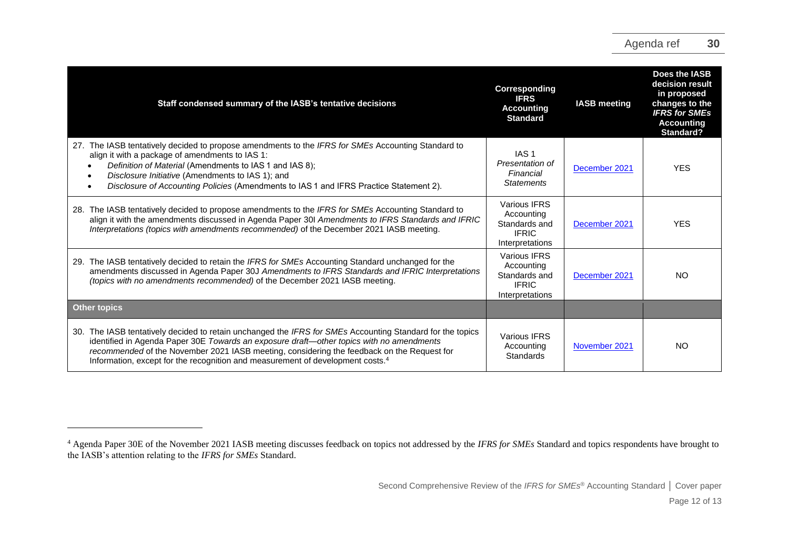| Staff condensed summary of the IASB's tentative decisions                                                                                                                                                                                                                                                                                                                                         | Corresponding<br><b>IFRS</b><br><b>Accounting</b><br><b>Standard</b>           | <b>IASB</b> meeting | Does the IASB<br>decision result<br>in proposed<br>changes to the<br><b>IFRS for SMEs</b><br><b>Accounting</b><br>Standard? |
|---------------------------------------------------------------------------------------------------------------------------------------------------------------------------------------------------------------------------------------------------------------------------------------------------------------------------------------------------------------------------------------------------|--------------------------------------------------------------------------------|---------------------|-----------------------------------------------------------------------------------------------------------------------------|
| 27. The IASB tentatively decided to propose amendments to the IFRS for SMEs Accounting Standard to<br>align it with a package of amendments to IAS 1:<br>Definition of Material (Amendments to IAS 1 and IAS 8);<br>Disclosure Initiative (Amendments to IAS 1); and<br>$\bullet$<br>Disclosure of Accounting Policies (Amendments to IAS 1 and IFRS Practice Statement 2).<br>٠                  | IAS <sub>1</sub><br>Presentation of<br>Financial<br><b>Statements</b>          | December 2021       | <b>YES</b>                                                                                                                  |
| 28. The IASB tentatively decided to propose amendments to the IFRS for SMEs Accounting Standard to<br>align it with the amendments discussed in Agenda Paper 30I Amendments to IFRS Standards and IFRIC<br>Interpretations (topics with amendments recommended) of the December 2021 IASB meeting.                                                                                                | Various IFRS<br>Accounting<br>Standards and<br><b>IFRIC</b><br>Interpretations | December 2021       | <b>YES</b>                                                                                                                  |
| The IASB tentatively decided to retain the IFRS for SMEs Accounting Standard unchanged for the<br>29.<br>amendments discussed in Agenda Paper 30J Amendments to IFRS Standards and IFRIC Interpretations<br>(topics with no amendments recommended) of the December 2021 IASB meeting.                                                                                                            | Various IFRS<br>Accounting<br>Standards and<br><b>IFRIC</b><br>Interpretations | December 2021       | NO.                                                                                                                         |
| <b>Other topics</b>                                                                                                                                                                                                                                                                                                                                                                               |                                                                                |                     |                                                                                                                             |
| 30. The IASB tentatively decided to retain unchanged the IFRS for SMEs Accounting Standard for the topics<br>identified in Agenda Paper 30E Towards an exposure draft-other topics with no amendments<br>recommended of the November 2021 IASB meeting, considering the feedback on the Request for<br>Information, except for the recognition and measurement of development costs. <sup>4</sup> | <b>Various IFRS</b><br>Accounting<br>Standards                                 | November 2021       | NO                                                                                                                          |

Second Comprehensive Review of the *IFRS for SMEs* ® Accounting Standard **│** Cover paper

<sup>4</sup> Agenda Paper 30E of the November 2021 IASB meeting discusses feedback on topics not addressed by the *IFRS for SMEs* Standard and topics respondents have brought to the IASB's attention relating to the *IFRS for SMEs* Standard.